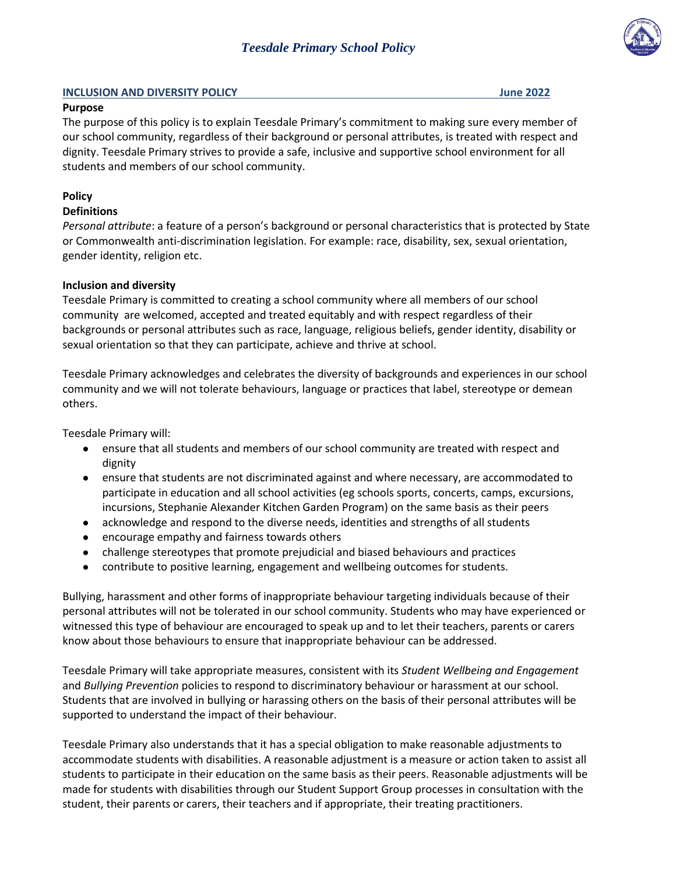# *Teesdale Primary School Policy*

#### **INCLUSION AND DIVERSITY POLICY June 2022**

### **Purpose**

The purpose of this policy is to explain Teesdale Primary's commitment to making sure every member of our school community, regardless of their background or personal attributes, is treated with respect and dignity. Teesdale Primary strives to provide a safe, inclusive and supportive school environment for all students and members of our school community.

### **Policy**

### **Definitions**

*Personal attribute*: a feature of a person's background or personal characteristics that is protected by State or Commonwealth anti-discrimination legislation. For example: race, disability, sex, sexual orientation, gender identity, religion etc.

### **Inclusion and diversity**

Teesdale Primary is committed to creating a school community where all members of our school community are welcomed, accepted and treated equitably and with respect regardless of their backgrounds or personal attributes such as race, language, religious beliefs, gender identity, disability or sexual orientation so that they can participate, achieve and thrive at school.

Teesdale Primary acknowledges and celebrates the diversity of backgrounds and experiences in our school community and we will not tolerate behaviours, language or practices that label, stereotype or demean others.

Teesdale Primary will:

- ensure that all students and members of our school community are treated with respect and dignity
- ensure that students are not discriminated against and where necessary, are accommodated to participate in education and all school activities (eg schools sports, concerts, camps, excursions, incursions, Stephanie Alexander Kitchen Garden Program) on the same basis as their peers
- acknowledge and respond to the diverse needs, identities and strengths of all students
- encourage empathy and fairness towards others
- challenge stereotypes that promote prejudicial and biased behaviours and practices
- contribute to positive learning, engagement and wellbeing outcomes for students.

Bullying, harassment and other forms of inappropriate behaviour targeting individuals because of their personal attributes will not be tolerated in our school community. Students who may have experienced or witnessed this type of behaviour are encouraged to speak up and to let their teachers, parents or carers know about those behaviours to ensure that inappropriate behaviour can be addressed.

Teesdale Primary will take appropriate measures, consistent with its *Student Wellbeing and Engagement* and *Bullying Prevention* policies to respond to discriminatory behaviour or harassment at our school. Students that are involved in bullying or harassing others on the basis of their personal attributes will be supported to understand the impact of their behaviour.

Teesdale Primary also understands that it has a special obligation to make reasonable adjustments to accommodate students with disabilities. A reasonable adjustment is a measure or action taken to assist all students to participate in their education on the same basis as their peers. Reasonable adjustments will be made for students with disabilities through our Student Support Group processes in consultation with the student, their parents or carers, their teachers and if appropriate, their treating practitioners.